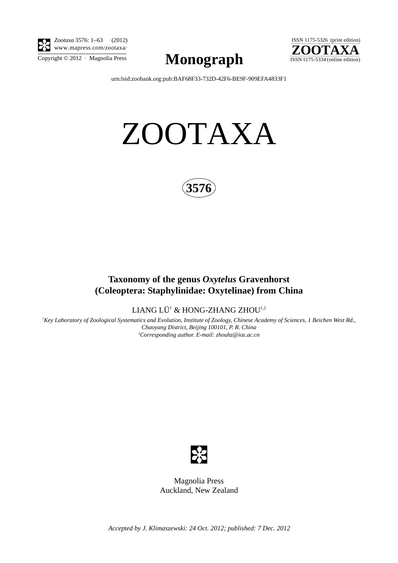

*Zootaxa* 3576: 1–63 (2012) www.mapress.com/zootaxa/

 $\sum_{\text{Copyright © }2012 \text{ } \cdot \text{ Magnolia Press}} \text{Mongraph}$  ISSN 1175-5334 (online edition)



[urn:lsid:zoobank.org:pub:BAF68F33-732D-42F6-BE9F-909EFA4833F1](http://zoobank.org/urn:lsid:zoobank.org:pub:BAF68F33-732D-42F6-BE9F-909EFA4833F1)

# ZOOTAXA



# **Taxonomy of the genus** *Oxytelus* **Gravenhorst (Coleoptera: Staphylinidae: Oxytelinae) from China**

LIANG LÜ $^1$  & HONG-ZHANG ZHOU $^{1,2}$ 

*1 Key Laboratory of Zoological Systematics and Evolution, Institute of Zoology, Chinese Academy of Sciences, 1 Beichen West Rd., Chaoyang District, Beijing 100101, P. R. China 2 Corresponding author. E-mail: zhouhz@ioz.ac.cn*



Magnolia Press Auckland, New Zealand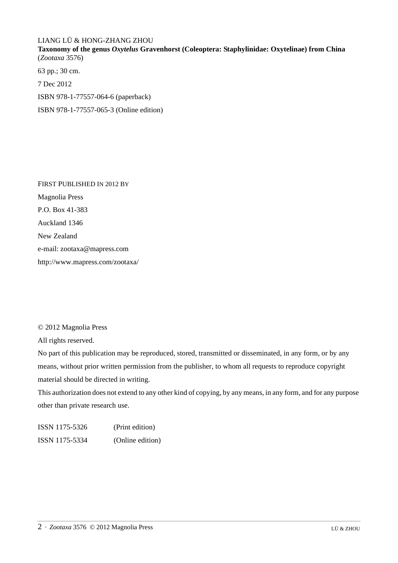## LIANG LÜ & HONG-ZHANG ZHOU

**Taxonomy of the genus** *Oxytelus* **Gravenhorst (Coleoptera: Staphylinidae: Oxytelinae) from China** (*Zootaxa* 3576)

63 pp.; 30 cm.

7 Dec 2012

ISBN 978-1-77557-064-6 (paperback)

ISBN 978-1-77557-065-3 (Online edition)

FIRST PUBLISHED IN 2012 BY Magnolia Press P.O. Box 41-383 Auckland 1346 New Zealand e-mail: zootaxa@mapress.com http://www.mapress.com/zootaxa/

## © 2012 Magnolia Press

All rights reserved.

No part of this publication may be reproduced, stored, transmitted or disseminated, in any form, or by any means, without prior written permission from the publisher, to whom all requests to reproduce copyright material should be directed in writing.

This authorization does not extend to any other kind of copying, by any means, in any form, and for any purpose other than private research use.

ISSN 1175-5326 (Print edition) ISSN 1175-5334 (Online edition)